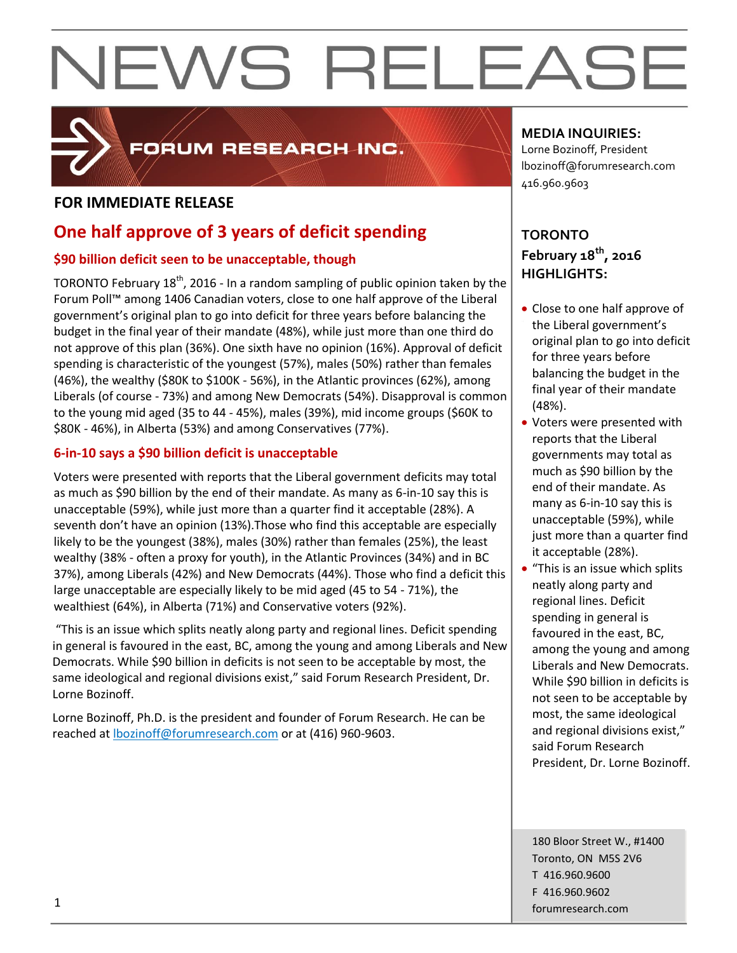

### FORUM RESEARCH INC.

#### **FOR IMMEDIATE RELEASE**

### **One half approve of 3 years of deficit spending**

#### **\$90 billion deficit seen to be unacceptable, though**

TORONTO February  $18<sup>th</sup>$ , 2016 - In a random sampling of public opinion taken by the Forum Poll™ among 1406 Canadian voters, close to one half approve of the Liberal government's original plan to go into deficit for three years before balancing the budget in the final year of their mandate (48%), while just more than one third do not approve of this plan (36%). One sixth have no opinion (16%). Approval of deficit spending is characteristic of the youngest (57%), males (50%) rather than females (46%), the wealthy (\$80K to \$100K - 56%), in the Atlantic provinces (62%), among Liberals (of course - 73%) and among New Democrats (54%). Disapproval is common to the young mid aged (35 to 44 - 45%), males (39%), mid income groups (\$60K to \$80K - 46%), in Alberta (53%) and among Conservatives (77%).

#### **6-in-10 says a \$90 billion deficit is unacceptable**

Voters were presented with reports that the Liberal government deficits may total as much as \$90 billion by the end of their mandate. As many as 6-in-10 say this is unacceptable (59%), while just more than a quarter find it acceptable (28%). A seventh don't have an opinion (13%).Those who find this acceptable are especially likely to be the youngest (38%), males (30%) rather than females (25%), the least wealthy (38% - often a proxy for youth), in the Atlantic Provinces (34%) and in BC 37%), among Liberals (42%) and New Democrats (44%). Those who find a deficit this large unacceptable are especially likely to be mid aged (45 to 54 - 71%), the wealthiest (64%), in Alberta (71%) and Conservative voters (92%).

"This is an issue which splits neatly along party and regional lines. Deficit spending in general is favoured in the east, BC, among the young and among Liberals and New Democrats. While \$90 billion in deficits is not seen to be acceptable by most, the same ideological and regional divisions exist," said Forum Research President, Dr. Lorne Bozinoff.

Lorne Bozinoff, Ph.D. is the president and founder of Forum Research. He can be reached at [lbozinoff@forumresearch.com](mailto:lbozinoff@forumresearch.com) or at (416) 960-9603.

#### **MEDIA INQUIRIES:**

Lorne Bozinoff, President lbozinoff@forumresearch.com 416.960.9603

#### **TORONTO February 18th, 2016 HIGHLIGHTS:**

- Close to one half approve of the Liberal government's original plan to go into deficit for three years before balancing the budget in the final year of their mandate (48%).
- Voters were presented with reports that the Liberal governments may total as much as \$90 billion by the end of their mandate. As many as 6-in-10 say this is unacceptable (59%), while just more than a quarter find it acceptable (28%).
- "This is an issue which splits neatly along party and regional lines. Deficit spending in general is favoured in the east, BC, among the young and among Liberals and New Democrats. While \$90 billion in deficits is not seen to be acceptable by most, the same ideological and regional divisions exist," said Forum Research President, Dr. Lorne Bozinoff.

180 Bloor Street W., #1400 Toronto, ON M5S 2V6 T 416.960.9600 F 416.960.9602 forumresearch.com 1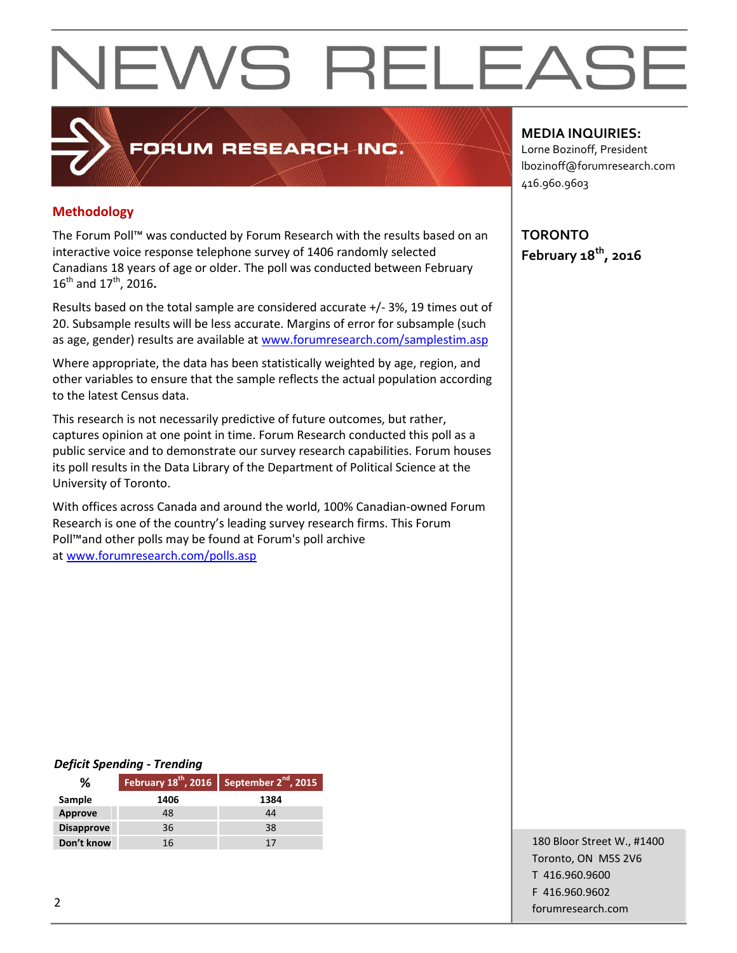#### **Methodology**

The Forum Poll™ was conducted by Forum Research with the results based on an interactive voice response telephone survey of 1406 randomly selected Canadians 18 years of age or older. The poll was conducted between February 16th and 17th, 2016**.**

FORUM RESEARCH INC.

Results based on the total sample are considered accurate +/- 3%, 19 times out of 20. Subsample results will be less accurate. Margins of error for subsample (such as age, gender) results are available at [www.forumresearch.com/samplestim.asp](http://www.forumresearch.com/samplestim.asp)

Where appropriate, the data has been statistically weighted by age, region, and other variables to ensure that the sample reflects the actual population according to the latest Census data.

This research is not necessarily predictive of future outcomes, but rather, captures opinion at one point in time. Forum Research conducted this poll as a public service and to demonstrate our survey research capabilities. Forum houses its poll results in the Data Library of the Department of Political Science at the University of Toronto.

With offices across Canada and around the world, 100% Canadian-owned Forum Research is one of the country's leading survey research firms. This Forum Poll™and other polls may be found at Forum's poll archive at [www.forumresearch.com/polls.asp](http://www.forumresearch.com/polls.asp)

#### **MEDIA INQUIRIES:**

Lorne Bozinoff, President lbozinoff@forumresearch.com 416.960.9603

**TORONTO February 18th, 2016**

#### *Deficit Spending - Trending*

| %                 |      | February $18^{th}$ , 2016 September $2^{nd}$ , 2015 |
|-------------------|------|-----------------------------------------------------|
| Sample            | 1406 | 1384                                                |
| Approve           | 48   | 44                                                  |
| <b>Disapprove</b> | 36   | 38                                                  |
| Don't know        | 16   |                                                     |

180 Bloor Street W., #1400 Toronto, ON M5S 2V6 T 416.960.9600 F 416.960.9602 example to the contract of the contract of the contract of the contract of the contract of the contract of the contract of the contract of the contract of the contract of the contract of the contract of the contract of the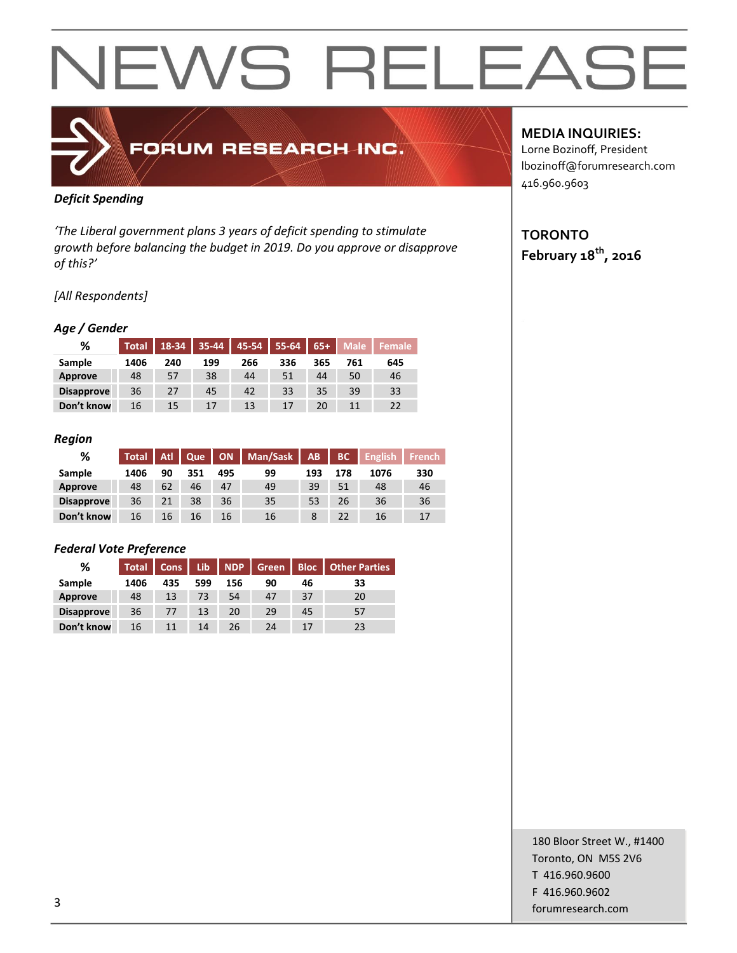### FORUM RESEARCH INC.

#### *Deficit Spending*

*'The Liberal government plans 3 years of deficit spending to stimulate growth before balancing the budget in 2019. Do you approve or disapprove of this?'*

#### *[All Respondents]*

#### *Age / Gender*

| %                 | <b>Total</b> | 18-34 | 35-44 | 45-54 | 55-64 | $65+$ | <b>Male</b> | <b>Female</b> |
|-------------------|--------------|-------|-------|-------|-------|-------|-------------|---------------|
| Sample            | 1406         | 240   | 199   | 266   | 336   | 365   | 761         | 645           |
| Approve           | 48           | 57    | 38    | 44    | 51    | 44    | 50          | 46            |
| <b>Disapprove</b> | 36           | 27    | 45    | 42    | 33    | 35    | 39          | 33            |
| Don't know        | 16           | 15    | 17    | 13    | 17    | 20    | 11          | 22            |

#### *Region*

| %                 | Total | Atl | Que |     | ON   Man/Sask | AB  | BC  | <b>English</b> | <b>French</b> |
|-------------------|-------|-----|-----|-----|---------------|-----|-----|----------------|---------------|
| Sample            | 1406  | 90  | 351 | 495 | 99            | 193 | 178 | 1076           | 330           |
| Approve           | 48    | 62  | 46  | 47  | 49            | 39  | 51  | 48             | 46            |
| <b>Disapprove</b> | 36    | 21  | 38  | 36  | 35            | 53  | 26  | 36             | 36            |
| Don't know        | 16    | 16  | 16  | 16  | 16            |     | 22  | 16             | 17            |

#### *Federal Vote Preference*

| ℅                 | <b>Total</b> | <b>Cons</b> | Lib | <b>NDP</b> | <b>Green</b> | <b>Bloc</b> | <b>Other Parties</b> |
|-------------------|--------------|-------------|-----|------------|--------------|-------------|----------------------|
| Sample            | 1406         | 435         | 599 | 156        | 90           | 46          | 33                   |
| Approve           | 48           | 13          | 73  | 54         | 47           | 37          | 20                   |
| <b>Disapprove</b> | 36           | 77          | 13  | 20         | 29           | 45          | 57                   |
| Don't know        | 16           | 11          | 14  | 26.        | 24           | 17          | 23                   |

#### **MEDIA INQUIRIES:**

Lorne Bozinoff, President lbozinoff@forumresearch.com 416.960.9603

#### **TORONTO February 18th, 2016**

180 Bloor Street W., #1400 Toronto, ON M5S 2V6 T 416.960.9600 F 416.960.9602 forumresearch.com and the set of the set of the set of the set of the set of the set of the set of the set of the set of the set of the set of the set of the set of the set of the set of the set of the set of the set of th